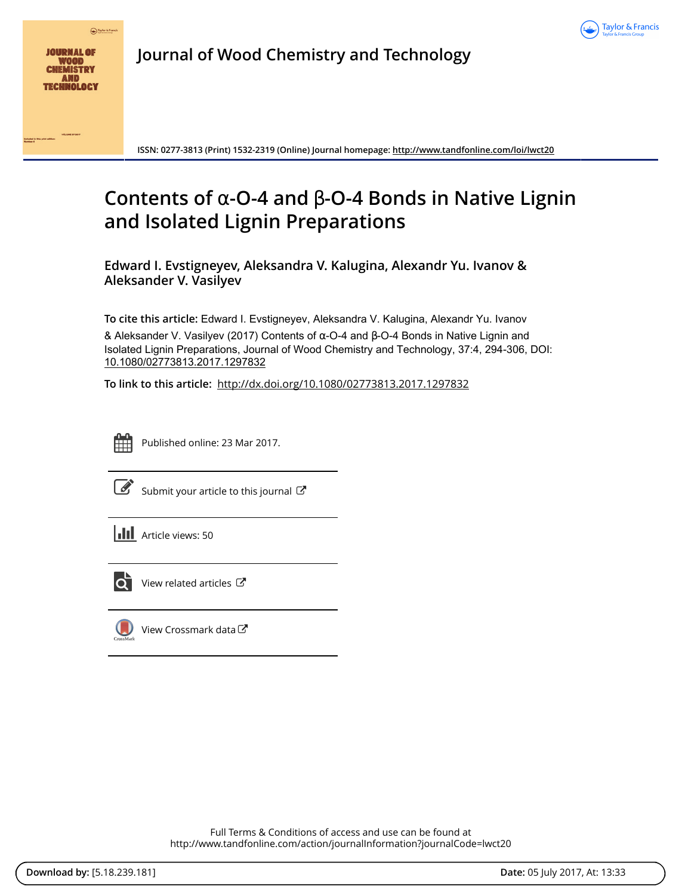



**Journal of Wood Chemistry and Technology**

**ISSN: 0277-3813 (Print) 1532-2319 (Online) Journal homepage:<http://www.tandfonline.com/loi/lwct20>**

# **Contents of** α**-O-4 and** β**-O-4 Bonds in Native Lignin and Isolated Lignin Preparations**

**Edward I. Evstigneyev, Aleksandra V. Kalugina, Alexandr Yu. Ivanov & Aleksander V. Vasilyev**

**To cite this article:** Edward I. Evstigneyev, Aleksandra V. Kalugina, Alexandr Yu. Ivanov & Aleksander V. Vasilyev (2017) Contents of α-O-4 and β-O-4 Bonds in Native Lignin and Isolated Lignin Preparations, Journal of Wood Chemistry and Technology, 37:4, 294-306, DOI: [10.1080/02773813.2017.1297832](http://www.tandfonline.com/action/showCitFormats?doi=10.1080/02773813.2017.1297832)

**To link to this article:** <http://dx.doi.org/10.1080/02773813.2017.1297832>



Published online: 23 Mar 2017.

[Submit your article to this journal](http://www.tandfonline.com/action/authorSubmission?journalCode=lwct20&show=instructions)  $\mathbb{Z}$ 

| <b>III</b> Article views: 50 |  |
|------------------------------|--|
|------------------------------|--|



[View related articles](http://www.tandfonline.com/doi/mlt/10.1080/02773813.2017.1297832) C



[View Crossmark data](http://crossmark.crossref.org/dialog/?doi=10.1080/02773813.2017.1297832&domain=pdf&date_stamp=2017-03-23)<sup>√</sup>

Full Terms & Conditions of access and use can be found at <http://www.tandfonline.com/action/journalInformation?journalCode=lwct20>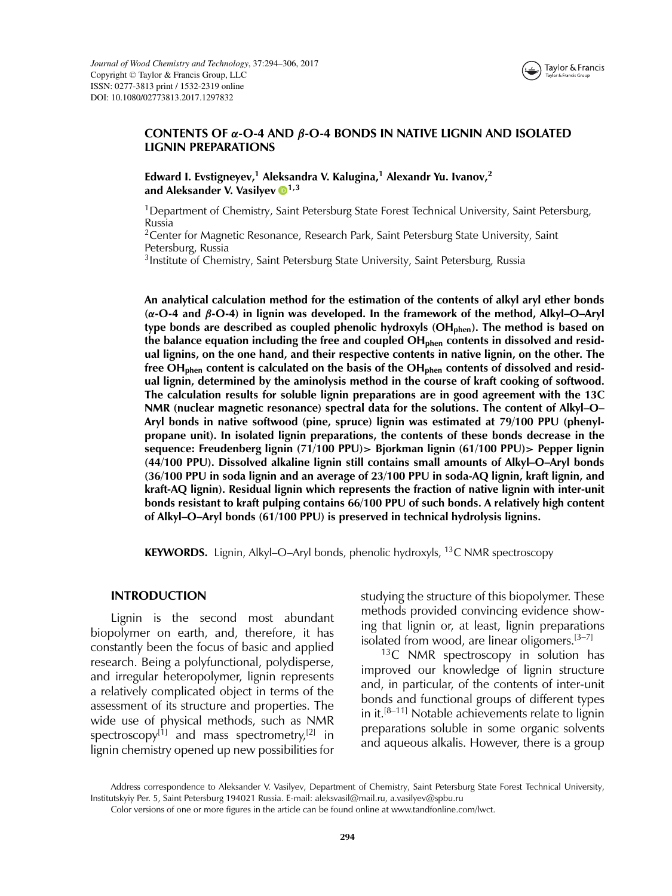

## **CONTENTS OF** *α***-O-4 AND** *β***-O-4 BONDS IN NATIVE LIGNIN AND ISOLATED LIGNIN PREPARATIONS**

**Edward I. Evstigneyev,1 Aleksandra V. Kalugina,<sup>1</sup> Alexandr Yu. Ivanov,2** and Aleksander V. Vasilyev **0**<sup>1,3</sup>

1Department of Chemistry, Saint Petersburg State Forest Technical University, Saint Petersburg, Russia

<sup>2</sup> Center for Magnetic Resonance, Research Park, Saint Petersburg State University, Saint Petersburg, Russia

<sup>3</sup> Institute of Chemistry, Saint Petersburg State University, Saint Petersburg, Russia

**An analytical calculation method for the estimation of the contents of alkyl aryl ether bonds (***α***-O-4 and** *β***-O-4) in lignin was developed. In the framework of the method, Alkyl–O–Aryl** type bonds are described as coupled phenolic hydroxyls (OH<sub>phen</sub>). The method is based on the balance equation including the free and coupled OH<sub>phen</sub> contents in dissolved and resid**ual lignins, on the one hand, and their respective contents in native lignin, on the other. The free OHphen content is calculated on the basis of the OHphen contents of dissolved and residual lignin, determined by the aminolysis method in the course of kraft cooking of softwood. The calculation results for soluble lignin preparations are in good agreement with the 13C NMR (nuclear magnetic resonance) spectral data for the solutions. The content of Alkyl–O– Aryl bonds in native softwood (pine, spruce) lignin was estimated at 79/100 PPU (phenylpropane unit). In isolated lignin preparations, the contents of these bonds decrease in the sequence: Freudenberg lignin (71/100 PPU)***>* **Bjorkman lignin (61/100 PPU)***>* **Pepper lignin (44/100 PPU). Dissolved alkaline lignin still contains small amounts of Alkyl–O–Aryl bonds (36/100 PPU in soda lignin and an average of 23/100 PPU in soda-AQ lignin, kraft lignin, and kraft-AQ lignin). Residual lignin which represents the fraction of native lignin with inter-unit bonds resistant to kraft pulping contains 66/100 PPU of such bonds. A relatively high content of Alkyl–O–Aryl bonds (61/100 PPU) is preserved in technical hydrolysis lignins.**

**KEYWORDS.** Lignin, Alkyl–O–Aryl bonds, phenolic hydroxyls, <sup>13</sup>C NMR spectroscopy

#### **INTRODUCTION**

Lignin is the second most abundant biopolymer on earth, and, therefore, it has constantly been the focus of basic and applied research. Being a polyfunctional, polydisperse, and irregular heteropolymer, lignin represents a relatively complicated object in terms of the assessment of its structure and properties. The wide use of physical methods, such as NMR spectroscopy<sup>[1]</sup> and mass spectrometry,<sup>[2]</sup> in lignin chemistry opened up new possibilities for

studying the structure of this biopolymer. These methods provided convincing evidence showing that lignin or, at least, lignin preparations isolated from wood, are linear oligomers.[3–7]

 $13C$  NMR spectroscopy in solution has improved our knowledge of lignin structure and, in particular, of the contents of inter-unit bonds and functional groups of different types in it.<sup>[8–11]</sup> Notable achievements relate to lignin preparations soluble in some organic solvents and aqueous alkalis. However, there is a group

Address correspondence to Aleksander V. Vasilyev, Department of Chemistry, Saint Petersburg State Forest Technical University, Institutskyiy Per. 5, Saint Petersburg 194021 Russia. E-mail: aleksvasil@mail.ru, a.vasilyev@spbu.ru

Color versions of one or more figures in the article can be found online at www.tandfonline.com/lwct.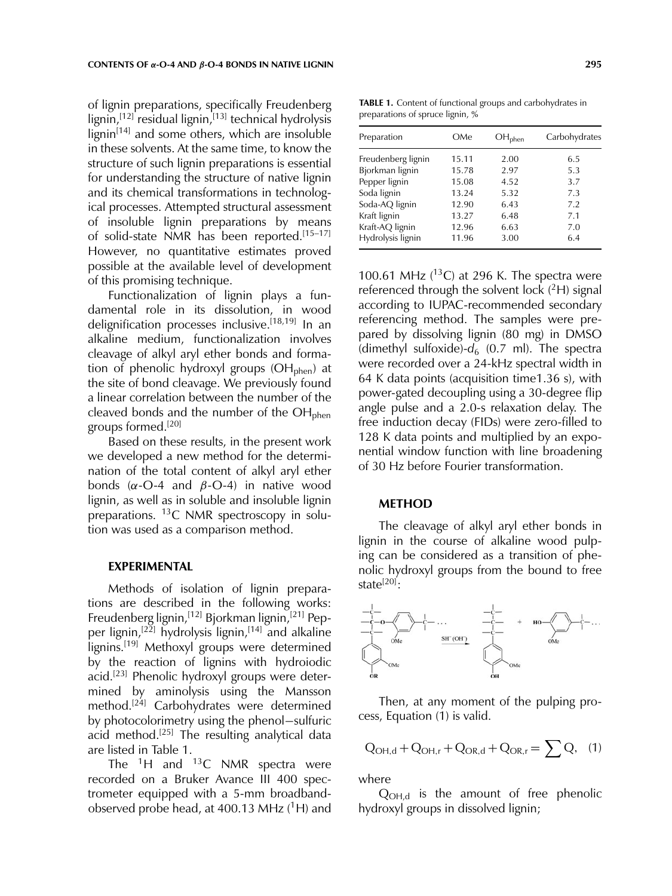of lignin preparations, specifically Freudenberg lignin,<sup>[12]</sup> residual lignin,<sup>[13]</sup> technical hydrolysis  $lignin<sup>[14]</sup>$  and some others, which are insoluble in these solvents. At the same time, to know the structure of such lignin preparations is essential for understanding the structure of native lignin and its chemical transformations in technological processes. Attempted structural assessment of insoluble lignin preparations by means of solid-state NMR has been reported.<sup>[15-17]</sup> However, no quantitative estimates proved possible at the available level of development of this promising technique.

Functionalization of lignin plays a fundamental role in its dissolution, in wood delignification processes inclusive.[18,19] In an alkaline medium, functionalization involves cleavage of alkyl aryl ether bonds and formation of phenolic hydroxyl groups  $(OH_{\text{phen}})$  at the site of bond cleavage. We previously found a linear correlation between the number of the cleaved bonds and the number of the  $OH<sub>phen</sub>$ groups formed.[20]

Based on these results, in the present work we developed a new method for the determination of the total content of alkyl aryl ether bonds ( $\alpha$ -O-4 and  $\beta$ -O-4) in native wood lignin, as well as in soluble and insoluble lignin preparations. <sup>13</sup>C NMR spectroscopy in solution was used as a comparison method.

#### **EXPERIMENTAL**

Methods of isolation of lignin preparations are described in the following works: Freudenberg lignin,<sup>[12]</sup> Bjorkman lignin,<sup>[21]</sup> Pepper lignin,<sup>[22]</sup> hydrolysis lignin,<sup>[14]</sup> and alkaline lignins.<sup>[19]</sup> Methoxyl groups were determined by the reaction of lignins with hydroiodic acid.<sup>[23]</sup> Phenolic hydroxyl groups were determined by aminolysis using the Mansson method.<sup>[24]</sup> Carbohydrates were determined by photocolorimetry using the phenol−sulfuric acid method.<sup>[25]</sup> The resulting analytical data are listed in Table 1.

The  ${}^{1}H$  and  ${}^{13}C$  NMR spectra were recorded on a Bruker Avance III 400 spectrometer equipped with a 5-mm broadbandobserved probe head, at 400.13 MHz  $(^1H)$  and

**TABLE 1.** Content of functional groups and carbohydrates in preparations of spruce lignin, %

| Preparation        | OMe   | OH <sub>phen</sub> | Carbohydrates |
|--------------------|-------|--------------------|---------------|
| Freudenberg lignin | 15.11 | 2.00               | 6.5           |
| Bjorkman lignin    | 15.78 | 2.97               | 5.3           |
| Pepper lignin      | 15.08 | 4.52               | 3.7           |
| Soda lignin        | 13.24 | 5.32               | 7.3           |
| Soda-AQ lignin     | 12.90 | 6.43               | 7.2           |
| Kraft lignin       | 13.27 | 6.48               | 7.1           |
| Kraft-AQ lignin    | 12.96 | 6.63               | 7.0           |
| Hydrolysis lignin  | 11.96 | 3.00               | 6.4           |

100.61 MHz  $(^{13}C)$  at 296 K. The spectra were referenced through the solvent lock  $(^{2}H)$  signal according to IUPAC-recommended secondary referencing method. The samples were prepared by dissolving lignin (80 mg) in DMSO (dimethyl sulfoxide)- $d_6$  (0.7 ml). The spectra were recorded over a 24-kHz spectral width in 64 K data points (acquisition time1.36 s), with power-gated decoupling using a 30-degree flip angle pulse and a 2.0-s relaxation delay. The free induction decay (FIDs) were zero-filled to 128 K data points and multiplied by an exponential window function with line broadening of 30 Hz before Fourier transformation.

## **METHOD**

The cleavage of alkyl aryl ether bonds in lignin in the course of alkaline wood pulping can be considered as a transition of phenolic hydroxyl groups from the bound to free state $^{[20]}$ :



Then, at any moment of the pulping process, Equation (1) is valid.

$$
Q_{OH,d} + Q_{OH,r} + Q_{OR,d} + Q_{OR,r} = \sum Q, \quad (1)
$$

where

 $Q_{OH,d}$  is the amount of free phenolic hydroxyl groups in dissolved lignin;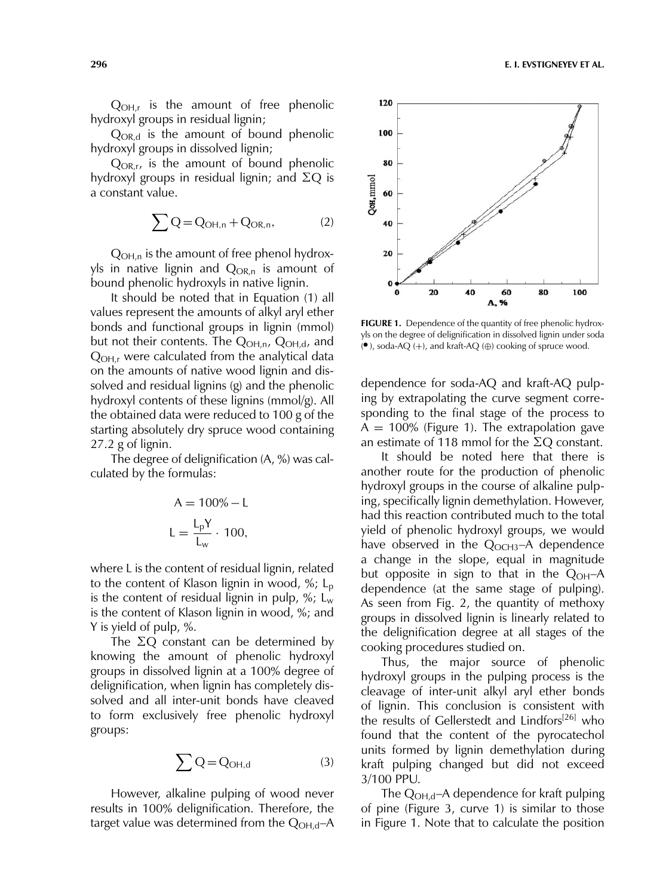$Q_{OH,r}$  is the amount of free phenolic hydroxyl groups in residual lignin;

 $Q_{OR,d}$  is the amount of bound phenolic hydroxyl groups in dissolved lignin;

 $Q_{OR,r}$ , is the amount of bound phenolic hydroxyl groups in residual lignin; and  $\Sigma Q$  is a constant value.

$$
\sum Q = Q_{OH,n} + Q_{OR,n},\tag{2}
$$

 $Q_{OH,n}$  is the amount of free phenol hydroxyls in native lignin and  $Q_{OR,n}$  is amount of bound phenolic hydroxyls in native lignin.

It should be noted that in Equation (1) all values represent the amounts of alkyl aryl ether bonds and functional groups in lignin (mmol) but not their contents. The  $Q_{OH,n}$ ,  $Q_{OH,d}$ , and  $Q_{OH,r}$  were calculated from the analytical data on the amounts of native wood lignin and dissolved and residual lignins (g) and the phenolic hydroxyl contents of these lignins (mmol/g). All the obtained data were reduced to 100 g of the starting absolutely dry spruce wood containing 27.2 g of lignin.

The degree of delignification (A, %) was calculated by the formulas:

$$
A = 100\% - L
$$

$$
L = \frac{L_p Y}{L_w} \cdot 100,
$$

where L is the content of residual lignin, related to the content of Klason lignin in wood,  $\frac{6}{5}$ ; L<sub>p</sub> is the content of residual lignin in pulp,  $\frac{6}{5}$ ; L<sub>w</sub> is the content of Klason lignin in wood, %; and Y is yield of pulp, %.

The  $\Sigma Q$  constant can be determined by knowing the amount of phenolic hydroxyl groups in dissolved lignin at a 100% degree of delignification, when lignin has completely dissolved and all inter-unit bonds have cleaved to form exclusively free phenolic hydroxyl groups:

$$
\sum Q = Q_{\text{OH,d}} \tag{3}
$$

However, alkaline pulping of wood never results in 100% delignification. Therefore, the target value was determined from the  $Q_{OH,d}$ –A



**FIGURE 1.** Dependence of the quantity of free phenolic hydroxyls on the degree of delignification in dissolved lignin under soda  $(•)$ , soda-AQ (+), and kraft-AQ (⊕) cooking of spruce wood.

dependence for soda-AQ and kraft-AQ pulping by extrapolating the curve segment corresponding to the final stage of the process to  $A = 100\%$  (Figure 1). The extrapolation gave an estimate of 118 mmol for the  $\Sigma Q$  constant.

It should be noted here that there is another route for the production of phenolic hydroxyl groups in the course of alkaline pulping, specifically lignin demethylation. However, had this reaction contributed much to the total yield of phenolic hydroxyl groups, we would have observed in the  $Q_{OCH3}$ –A dependence a change in the slope, equal in magnitude but opposite in sign to that in the  $Q_{OH}$ –A dependence (at the same stage of pulping). As seen from Fig. 2, the quantity of methoxy groups in dissolved lignin is linearly related to the delignification degree at all stages of the cooking procedures studied on.

Thus, the major source of phenolic hydroxyl groups in the pulping process is the cleavage of inter-unit alkyl aryl ether bonds of lignin. This conclusion is consistent with the results of Gellerstedt and Lindfors<sup>[26]</sup> who found that the content of the pyrocatechol units formed by lignin demethylation during kraft pulping changed but did not exceed 3/100 PPU.

The Q<sub>OH,d</sub>-A dependence for kraft pulping of pine (Figure 3, curve 1) is similar to those in Figure 1. Note that to calculate the position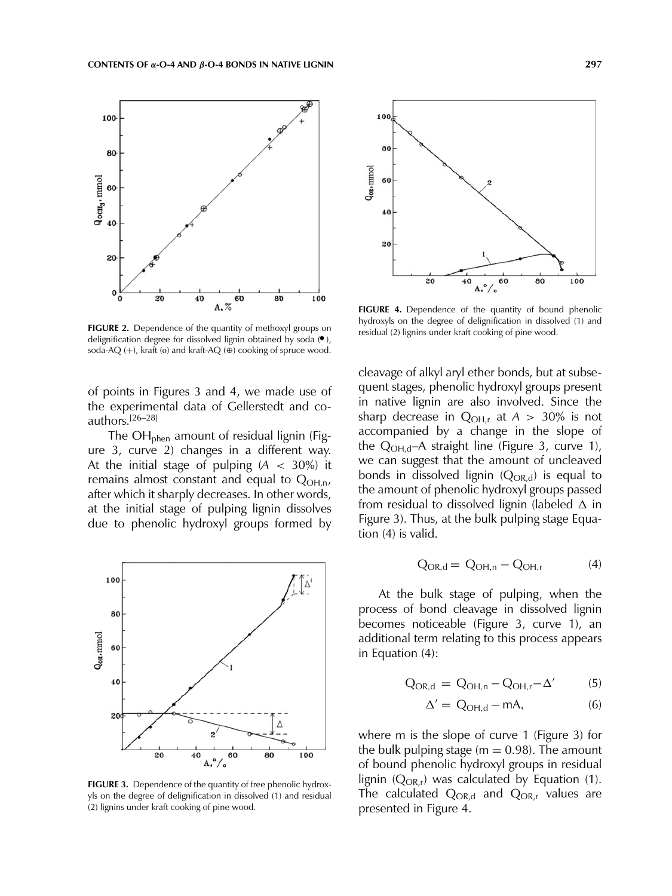

**FIGURE 2.** Dependence of the quantity of methoxyl groups on delignification degree for dissolved lignin obtained by soda (.), soda-AQ  $(+)$ , kraft (o) and kraft-AQ  $(\oplus)$  cooking of spruce wood.

of points in Figures 3 and 4, we made use of the experimental data of Gellerstedt and coauthors.[26–28]

The OH<sub>phen</sub> amount of residual lignin (Figure 3, curve 2) changes in a different way. At the initial stage of pulping (*A* < 30%) it remains almost constant and equal to  $Q_{\text{OH},n}$ , after which it sharply decreases. In other words, at the initial stage of pulping lignin dissolves due to phenolic hydroxyl groups formed by



**FIGURE 3.** Dependence of the quantity of free phenolic hydroxyls on the degree of delignification in dissolved (1) and residual (2) lignins under kraft cooking of pine wood.



FIGURE 4. Dependence of the quantity of bound phenolic hydroxyls on the degree of delignification in dissolved (1) and residual (2) lignins under kraft cooking of pine wood.

cleavage of alkyl aryl ether bonds, but at subsequent stages, phenolic hydroxyl groups present in native lignin are also involved. Since the sharp decrease in  $Q_{OH,r}$  at  $A > 30\%$  is not accompanied by a change in the slope of the  $Q_{OH,d}$ –A straight line (Figure 3, curve 1), we can suggest that the amount of uncleaved bonds in dissolved lignin  $(Q_{OR,d})$  is equal to the amount of phenolic hydroxyl groups passed from residual to dissolved lignin (labeled  $\Delta$  in Figure 3). Thus, at the bulk pulping stage Equation (4) is valid.

$$
Q_{OR,d} = Q_{OH,n} - Q_{OH,r} \tag{4}
$$

At the bulk stage of pulping, when the process of bond cleavage in dissolved lignin becomes noticeable (Figure 3, curve 1), an additional term relating to this process appears in Equation (4):

$$
Q_{OR,d} = Q_{OH,n} - Q_{OH,r} - \Delta'
$$
 (5)

$$
\Delta' = Q_{\text{OH,d}} - \text{mA},\tag{6}
$$

where m is the slope of curve 1 (Figure 3) for the bulk pulping stage ( $m = 0.98$ ). The amount of bound phenolic hydroxyl groups in residual lignin ( $Q_{OR,r}$ ) was calculated by Equation (1). The calculated  $Q_{OR,d}$  and  $Q_{OR,r}$  values are presented in Figure 4.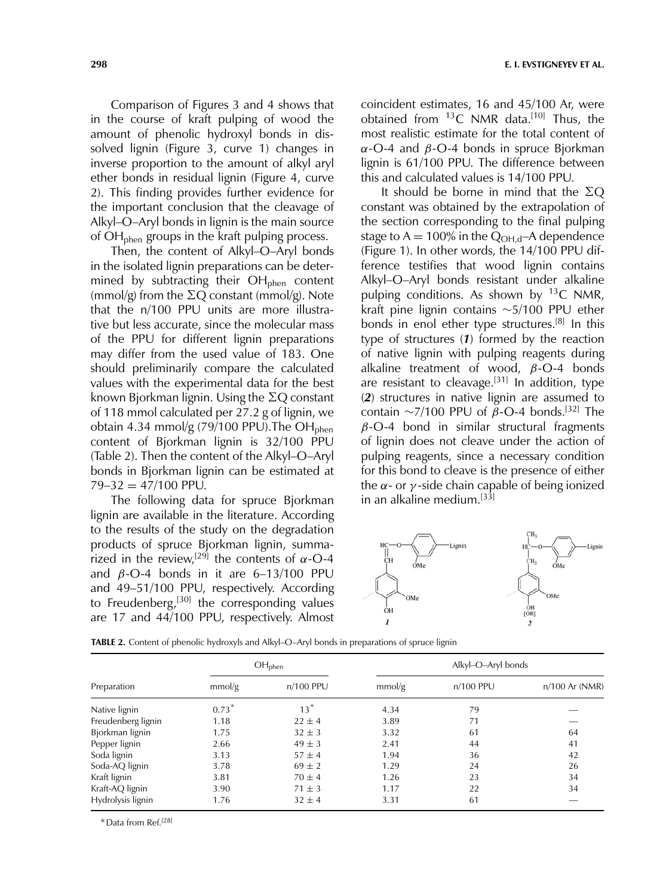Comparison of Figures 3 and 4 shows that in the course of kraft pulping of wood the amount of phenolic hydroxyl bonds in dissolved lignin (Figure 3, curve 1) changes in inverse proportion to the amount of alkyl aryl ether bonds in residual lignin (Figure 4, curve 2). This finding provides further evidence for the important conclusion that the cleavage of Alkyl–O–Aryl bonds in lignin is the main source of  $OH<sub>phen</sub>$  groups in the kraft pulping process.

Then, the content of Alkyl–O–Aryl bonds in the isolated lignin preparations can be determined by subtracting their  $OH<sub>phen</sub>$  content (mmol/g) from the  $\Sigma Q$  constant (mmol/g). Note that the n/100 PPU units are more illustrative but less accurate, since the molecular mass of the PPU for different lignin preparations may differ from the used value of 183. One should preliminarily compare the calculated values with the experimental data for the best known Bjorkman lignin. Using the  $\Sigma \text{Q}$  constant of 118 mmol calculated per 27.2 g of lignin, we obtain 4.34 mmol/g (79/100 PPU). The OH<sub>phen</sub> content of Bjorkman lignin is 32/100 PPU (Table 2). Then the content of the Alkyl–O–Aryl bonds in Bjorkman lignin can be estimated at  $79 - 32 = 47/100$  PPU.

The following data for spruce Bjorkman lignin are available in the literature. According to the results of the study on the degradation products of spruce Bjorkman lignin, summarized in the review,<sup>[29]</sup> the contents of  $\alpha$ -O-4 and  $β$ -O-4 bonds in it are 6-13/100 PPU and 49–51/100 PPU, respectively. According to Freudenberg,<sup>[30]</sup> the corresponding values are 17 and 44/100 PPU, respectively. Almost

coincident estimates, 16 and 45/100 Ar, were obtained from  $^{13}$ C NMR data.<sup>[10]</sup> Thus, the most realistic estimate for the total content of  $\alpha$ -O-4 and  $\beta$ -O-4 bonds in spruce Bjorkman lignin is 61/100 PPU. The difference between this and calculated values is 14/100 PPU.

It should be borne in mind that the  $\Sigma Q$ constant was obtained by the extrapolation of the section corresponding to the final pulping stage to  $A = 100\%$  in the  $Q_{OH,d}$ –A dependence (Figure 1). In other words, the 14/100 PPU difference testifies that wood lignin contains Alkyl–O–Aryl bonds resistant under alkaline pulping conditions. As shown by  $^{13}C$  NMR, kraft pine lignin contains ∼5/100 PPU ether bonds in enol ether type structures.<sup>[8]</sup> In this type of structures (*1*) formed by the reaction of native lignin with pulping reagents during alkaline treatment of wood,  $\beta$ -O-4 bonds are resistant to cleavage.<sup>[31]</sup> In addition, type (*2*) structures in native lignin are assumed to contain ~7/100 PPU of  $\beta$ -O-4 bonds.<sup>[32]</sup> The  $\beta$ -O-4 bond in similar structural fragments of lignin does not cleave under the action of pulping reagents, since a necessary condition for this bond to cleave is the presence of either the  $\alpha$ - or  $\gamma$ -side chain capable of being ionized in an alkaline medium.<sup>[33]</sup>



**TABLE 2.** Content of phenolic hydroxyls and Alkyl–O–Aryl bonds in preparations of spruce lignin

|                    | $OH_{phen}$ |             | Alkyl-O-Aryl bonds |           |                  |  |
|--------------------|-------------|-------------|--------------------|-----------|------------------|--|
| Preparation        | mmol/g      | $n/100$ PPU | mmol/g             | n/100 PPU | $n/100$ Ar (NMR) |  |
| Native lignin      | $0.73*$     | $13^*$      | 4.34               | 79        |                  |  |
| Freudenberg lignin | 1.18        | $22 \pm 4$  | 3.89               | 71        |                  |  |
| Bjorkman lignin    | 1.75        | $32 \pm 3$  | 3.32               | 61        | 64               |  |
| Pepper lignin      | 2.66        | $49 \pm 3$  | 2.41               | 44        | 41               |  |
| Soda lignin        | 3.13        | $57 \pm 4$  | 1.94               | 36        | 42               |  |
| Soda-AQ lignin     | 3.78        | $69 \pm 2$  | 1.29               | 24        | 26               |  |
| Kraft lignin       | 3.81        | $70 \pm 4$  | 1.26               | 23        | 34               |  |
| Kraft-AQ lignin    | 3.90        | $71 \pm 3$  | 1.17               | 22        | 34               |  |
| Hydrolysis lignin  | 1.76        | $32 \pm 4$  | 3.31               | 61        |                  |  |

Data from Ref.[28]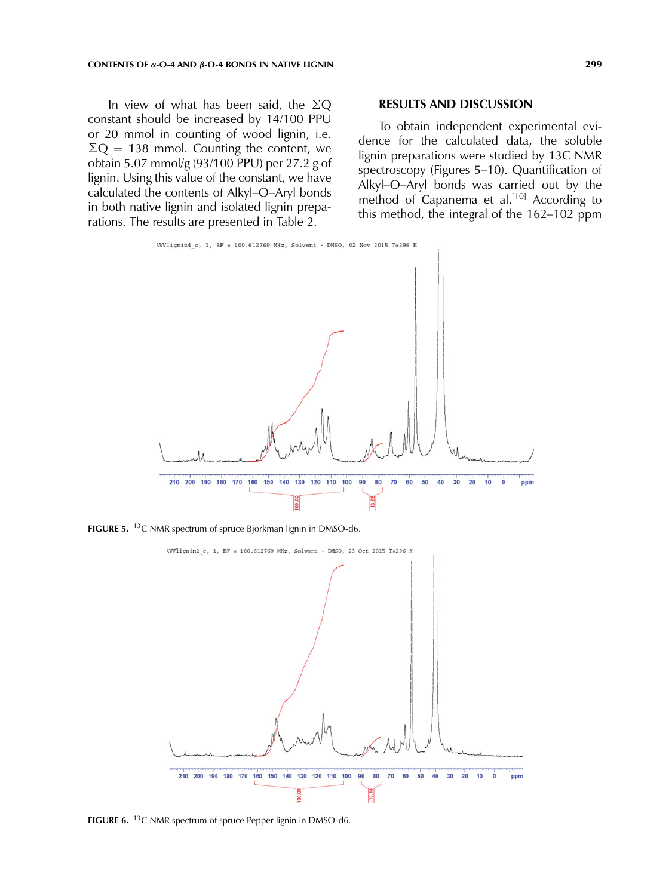In view of what has been said, the  $\Sigma Q$ constant should be increased by 14/100 PPU or 20 mmol in counting of wood lignin, i.e.  $\Sigma$ Q = 138 mmol. Counting the content, we obtain 5.07 mmol/g (93/100 PPU) per 27.2 g of lignin. Using this value of the constant, we have calculated the contents of Alkyl–O–Aryl bonds in both native lignin and isolated lignin preparations. The results are presented in Table 2.

#### **RESULTS AND DISCUSSION**

To obtain independent experimental evidence for the calculated data, the soluble lignin preparations were studied by 13C NMR spectroscopy (Figures 5–10). Quantification of Alkyl–O–Aryl bonds was carried out by the method of Capanema et al.<sup>[10]</sup> According to this method, the integral of the 162–102 ppm



**FIGURE 5.** <sup>13</sup>C NMR spectrum of spruce Bjorkman lignin in DMSO-d6.



**FIGURE 6.** 13C NMR spectrum of spruce Pepper lignin in DMSO-d6.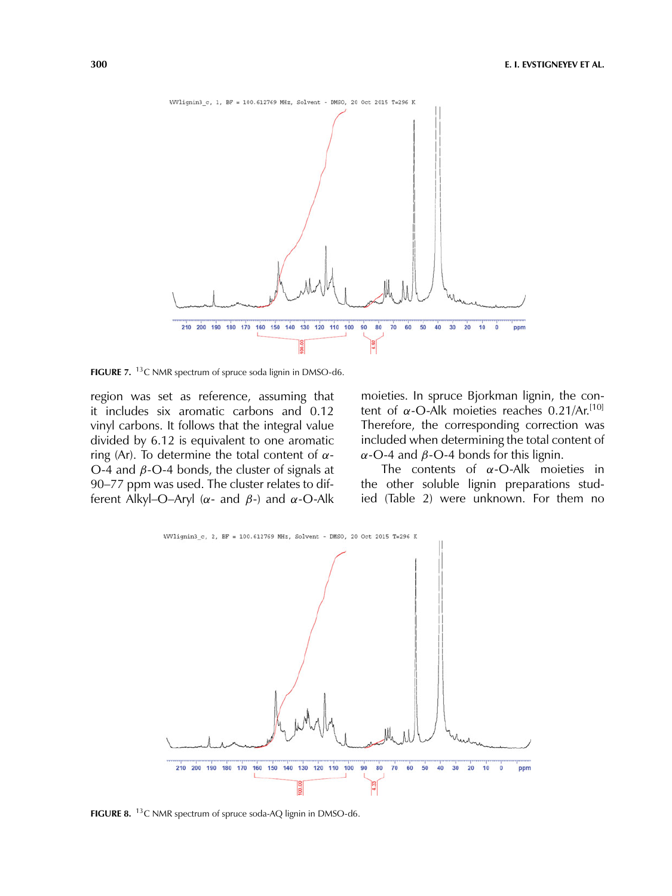

**FIGURE 7.** <sup>13</sup>C NMR spectrum of spruce soda lignin in DMSO-d6.

region was set as reference, assuming that it includes six aromatic carbons and 0.12 vinyl carbons. It follows that the integral value divided by 6.12 is equivalent to one aromatic ring (Ar). To determine the total content of  $α-$ O-4 and  $β$ -O-4 bonds, the cluster of signals at 90–77 ppm was used. The cluster relates to different Alkyl–O–Aryl ( $\alpha$ - and  $\beta$ -) and  $\alpha$ -O-Alk

moieties. In spruce Bjorkman lignin, the content of α-O-Alk moieties reaches  $0.21/Ar$ .<sup>[10]</sup> Therefore, the corresponding correction was included when determining the total content of α-O-4 and  $β$ -O-4 bonds for this lignin.

The contents of  $\alpha$ -O-Alk moieties in the other soluble lignin preparations studied (Table 2) were unknown. For them no



**FIGURE 8.** 13C NMR spectrum of spruce soda-AQ lignin in DMSO-d6.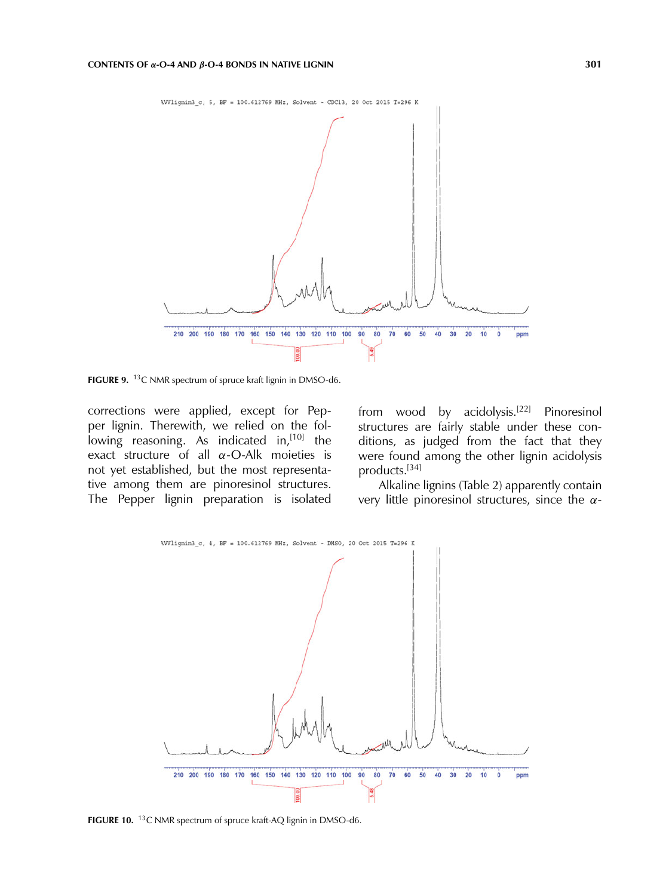

**FIGURE 9.** <sup>13</sup>C NMR spectrum of spruce kraft lignin in DMSO-d6.

corrections were applied, except for Pepper lignin. Therewith, we relied on the following reasoning. As indicated in,  $[10]$  the exact structure of all  $\alpha$ -O-Alk moieties is not yet established, but the most representative among them are pinoresinol structures. The Pepper lignin preparation is isolated from wood by acidolysis.<sup>[22]</sup> Pinoresinol structures are fairly stable under these conditions, as judged from the fact that they were found among the other lignin acidolysis products.[34]

Alkaline lignins (Table 2) apparently contain very little pinoresinol structures, since the  $\alpha$ -



**FIGURE 10.** 13C NMR spectrum of spruce kraft-AQ lignin in DMSO-d6.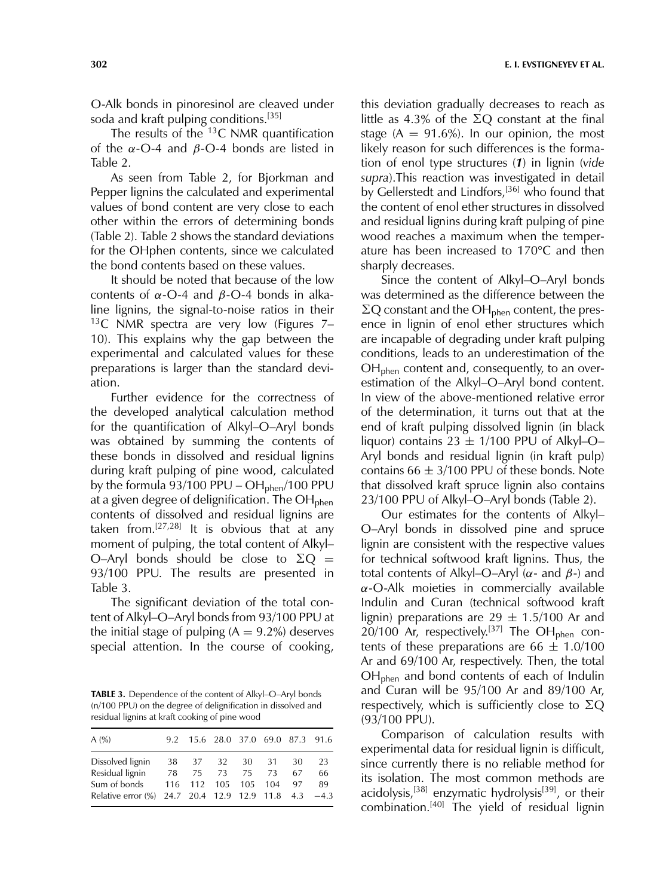O-Alk bonds in pinoresinol are cleaved under soda and kraft pulping conditions.[35]

The results of the  ${}^{13}C$  NMR quantification of the  $\alpha$ -O-4 and  $\beta$ -O-4 bonds are listed in Table 2.

As seen from Table 2, for Bjorkman and Pepper lignins the calculated and experimental values of bond content are very close to each other within the errors of determining bonds (Table 2). Table 2 shows the standard deviations for the OHphen contents, since we calculated the bond contents based on these values.

It should be noted that because of the low contents of  $\alpha$ -O-4 and  $\beta$ -O-4 bonds in alkaline lignins, the signal-to-noise ratios in their <sup>13</sup>C NMR spectra are very low (Figures  $7-$ 10). This explains why the gap between the experimental and calculated values for these preparations is larger than the standard deviation.

Further evidence for the correctness of the developed analytical calculation method for the quantification of Alkyl–O–Aryl bonds was obtained by summing the contents of these bonds in dissolved and residual lignins during kraft pulping of pine wood, calculated by the formula  $93/100$  PPU – OH<sub>phen</sub>/100 PPU at a given degree of delignification. The  $OH_{\text{phen}}$ contents of dissolved and residual lignins are taken from. $[27,28]$  It is obvious that at any moment of pulping, the total content of Alkyl– O–Aryl bonds should be close to  $\Sigma Q =$ 93/100 PPU. The results are presented in Table 3.

The significant deviation of the total content of Alkyl–O–Aryl bonds from 93/100 PPU at the initial stage of pulping  $(A = 9.2\%)$  deserves special attention. In the course of cooking,

**TABLE 3.** Dependence of the content of Alkyl–O–Aryl bonds (n/100 PPU) on the degree of delignification in dissolved and residual lignins at kraft cooking of pine wood

| A(%)                                                 |    | 9.2 15.6 28.0 37.0 69.0 87.3 91.6 |             |    |    |
|------------------------------------------------------|----|-----------------------------------|-------------|----|----|
| Dissolved lignin                                     |    | 38 37 32 30 31                    |             | 30 | 23 |
| Residual lignin                                      | 78 |                                   | 75 73 75 73 | 67 | 66 |
| Sum of bonds                                         |    | 116 112 105 105 104               |             | 97 | 89 |
| Relative error (%) 24.7 20.4 12.9 12.9 11.8 4.3 -4.3 |    |                                   |             |    |    |

this deviation gradually decreases to reach as little as 4.3% of the  $\Sigma Q$  constant at the final stage ( $A = 91.6\%$ ). In our opinion, the most likely reason for such differences is the formation of enol type structures (*1*) in lignin (*vide supra*).This reaction was investigated in detail by Gellerstedt and Lindfors,<sup>[36]</sup> who found that the content of enol ether structures in dissolved and residual lignins during kraft pulping of pine wood reaches a maximum when the temperature has been increased to 170°C and then sharply decreases.

Since the content of Alkyl–O–Aryl bonds was determined as the difference between the  $\Sigma Q$  constant and the OH<sub>phen</sub> content, the presence in lignin of enol ether structures which are incapable of degrading under kraft pulping conditions, leads to an underestimation of the  $OH<sub>phen</sub>$  content and, consequently, to an overestimation of the Alkyl–O–Aryl bond content. In view of the above-mentioned relative error of the determination, it turns out that at the end of kraft pulping dissolved lignin (in black liquor) contains  $23 \pm 1/100$  PPU of Alkyl-O-Aryl bonds and residual lignin (in kraft pulp) contains  $66 \pm 3/100$  PPU of these bonds. Note that dissolved kraft spruce lignin also contains 23/100 PPU of Alkyl–O–Aryl bonds (Table 2).

Our estimates for the contents of Alkyl– O–Aryl bonds in dissolved pine and spruce lignin are consistent with the respective values for technical softwood kraft lignins. Thus, the total contents of Alkyl–O–Aryl ( $\alpha$ - and  $\beta$ -) and  $\alpha$ -O-Alk moieties in commercially available Indulin and Curan (technical softwood kraft lignin) preparations are  $29 \pm 1.5/100$  Ar and  $20/100$  Ar, respectively.<sup>[37]</sup> The OH<sub>phen</sub> contents of these preparations are  $66 \pm 1.0/100$ Ar and 69/100 Ar, respectively. Then, the total OHphen and bond contents of each of Indulin and Curan will be 95/100 Ar and 89/100 Ar, respectively, which is sufficiently close to  $\Sigma Q$ (93/100 PPU).

Comparison of calculation results with experimental data for residual lignin is difficult, since currently there is no reliable method for its isolation. The most common methods are acidolysis,<sup>[38]</sup> enzymatic hydrolysis<sup>[39]</sup>, or their combination.<sup>[40]</sup> The yield of residual lignin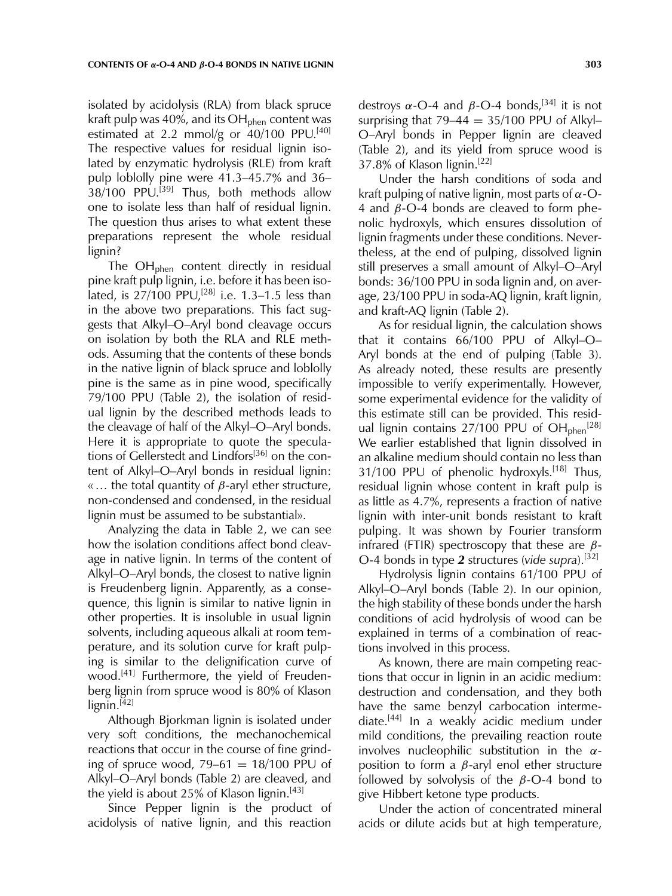isolated by acidolysis (RLA) from black spruce kraft pulp was 40%, and its  $OH<sub>phen</sub>$  content was estimated at 2.2 mmol/g or  $40/100$  PPU.<sup>[40]</sup> The respective values for residual lignin isolated by enzymatic hydrolysis (RLE) from kraft pulp loblolly pine were 41.3–45.7% and 36–  $38/100$  PPU.<sup>[39]</sup> Thus, both methods allow one to isolate less than half of residual lignin. The question thus arises to what extent these preparations represent the whole residual lignin?

The OH<sub>phen</sub> content directly in residual pine kraft pulp lignin, i.e. before it has been isolated, is  $27/100$  PPU,<sup>[28]</sup> i.e. 1.3-1.5 less than in the above two preparations. This fact suggests that Alkyl–O–Aryl bond cleavage occurs on isolation by both the RLA and RLE methods. Assuming that the contents of these bonds in the native lignin of black spruce and loblolly pine is the same as in pine wood, specifically 79/100 PPU (Table 2), the isolation of residual lignin by the described methods leads to the cleavage of half of the Alkyl–O–Aryl bonds. Here it is appropriate to quote the speculations of Gellerstedt and Lindfors<sup>[36]</sup> on the content of Alkyl–O–Aryl bonds in residual lignin: «... the total quantity of  $β$ -aryl ether structure, non-condensed and condensed, in the residual lignin must be assumed to be substantial».

Analyzing the data in Table 2, we can see how the isolation conditions affect bond cleavage in native lignin. In terms of the content of Alkyl–O–Aryl bonds, the closest to native lignin is Freudenberg lignin. Apparently, as a consequence, this lignin is similar to native lignin in other properties. It is insoluble in usual lignin solvents, including aqueous alkali at room temperature, and its solution curve for kraft pulping is similar to the delignification curve of wood.[41] Furthermore, the yield of Freudenberg lignin from spruce wood is 80% of Klason  $lignin.<sup>[42]</sup>$ 

Although Bjorkman lignin is isolated under very soft conditions, the mechanochemical reactions that occur in the course of fine grinding of spruce wood,  $79-61 = 18/100$  PPU of Alkyl–O–Aryl bonds (Table 2) are cleaved, and the yield is about 25% of Klason lignin.<sup>[43]</sup>

Since Pepper lignin is the product of acidolysis of native lignin, and this reaction

destroys  $\alpha$ -O-4 and  $\beta$ -O-4 bonds,<sup>[34]</sup> it is not surprising that  $79-44 = 35/100$  PPU of Alkyl-O–Aryl bonds in Pepper lignin are cleaved (Table 2), and its yield from spruce wood is 37.8% of Klason lignin.[22]

Under the harsh conditions of soda and kraft pulping of native lignin, most parts of  $\alpha$ -O-4 and  $β$ -O-4 bonds are cleaved to form phenolic hydroxyls, which ensures dissolution of lignin fragments under these conditions. Nevertheless, at the end of pulping, dissolved lignin still preserves a small amount of Alkyl–O–Aryl bonds: 36/100 PPU in soda lignin and, on average, 23/100 PPU in soda-AQ lignin, kraft lignin, and kraft-AQ lignin (Table 2).

As for residual lignin, the calculation shows that it contains 66/100 PPU of Alkyl–O– Aryl bonds at the end of pulping (Table 3). As already noted, these results are presently impossible to verify experimentally. However, some experimental evidence for the validity of this estimate still can be provided. This residual lignin contains  $27/100$  PPU of  $OH_{phen}$ <sup>[28]</sup> We earlier established that lignin dissolved in an alkaline medium should contain no less than 31/100 PPU of phenolic hydroxyls.<sup>[18]</sup> Thus, residual lignin whose content in kraft pulp is as little as 4.7%, represents a fraction of native lignin with inter-unit bonds resistant to kraft pulping. It was shown by Fourier transform infrared (FTIR) spectroscopy that these are  $β$ -O-4 bonds in type *2* structures (*vide supra*).[32]

Hydrolysis lignin contains 61/100 PPU of Alkyl–O–Aryl bonds (Table 2). In our opinion, the high stability of these bonds under the harsh conditions of acid hydrolysis of wood can be explained in terms of a combination of reactions involved in this process.

As known, there are main competing reactions that occur in lignin in an acidic medium: destruction and condensation, and they both have the same benzyl carbocation intermediate.[44] In a weakly acidic medium under mild conditions, the prevailing reaction route involves nucleophilic substitution in the  $\alpha$ position to form a  $β$ -aryl enol ether structure followed by solvolysis of the  $\beta$ -O-4 bond to give Hibbert ketone type products.

Under the action of concentrated mineral acids or dilute acids but at high temperature,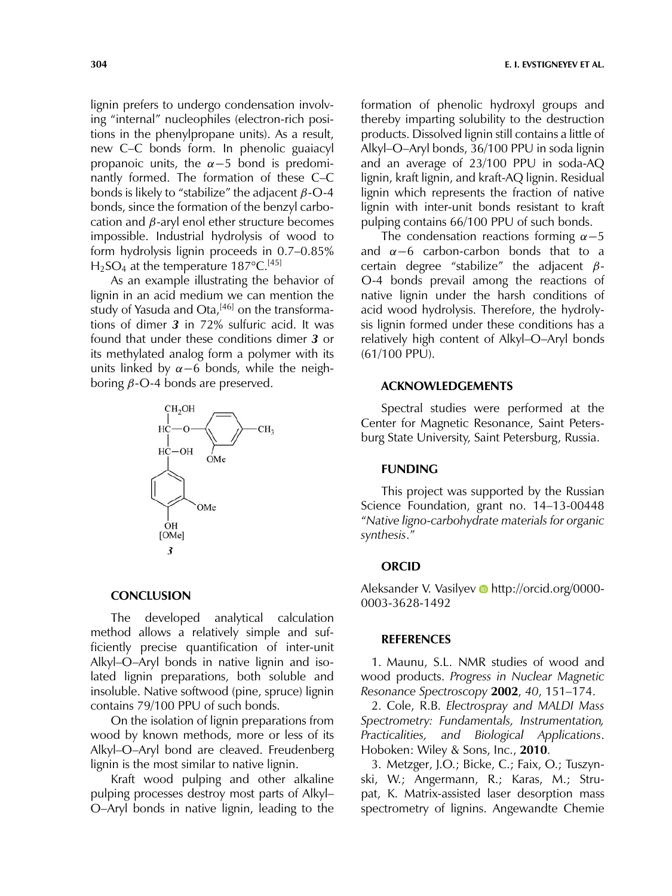lignin prefers to undergo condensation involving "internal" nucleophiles (electron-rich positions in the phenylpropane units). As a result, new C–C bonds form. In phenolic guaiacyl propanoic units, the  $\alpha$ -5 bond is predominantly formed. The formation of these C–C bonds is likely to "stabilize" the adjacent  $\beta$ -O-4 bonds, since the formation of the benzyl carbocation and  $\beta$ -aryl enol ether structure becomes impossible. Industrial hydrolysis of wood to form hydrolysis lignin proceeds in 0.7–0.85%  $H<sub>2</sub>SO<sub>4</sub>$  at the temperature 187°C.<sup>[45]</sup>

As an example illustrating the behavior of lignin in an acid medium we can mention the study of Yasuda and Ota, $[46]$  on the transformations of dimer *3* in 72% sulfuric acid. It was found that under these conditions dimer *3* or its methylated analog form a polymer with its units linked by  $\alpha$ −6 bonds, while the neighboring  $β$ -O-4 bonds are preserved.



#### **CONCLUSION**

The developed analytical calculation method allows a relatively simple and sufficiently precise quantification of inter-unit Alkyl–O–Aryl bonds in native lignin and isolated lignin preparations, both soluble and insoluble. Native softwood (pine, spruce) lignin contains 79/100 PPU of such bonds.

On the isolation of lignin preparations from wood by known methods, more or less of its Alkyl–O–Aryl bond are cleaved. Freudenberg lignin is the most similar to native lignin.

Kraft wood pulping and other alkaline pulping processes destroy most parts of Alkyl– O–Aryl bonds in native lignin, leading to the formation of phenolic hydroxyl groups and thereby imparting solubility to the destruction products. Dissolved lignin still contains a little of Alkyl–O–Aryl bonds, 36/100 PPU in soda lignin and an average of 23/100 PPU in soda-AQ lignin, kraft lignin, and kraft-AQ lignin. Residual lignin which represents the fraction of native lignin with inter-unit bonds resistant to kraft pulping contains 66/100 PPU of such bonds.

The condensation reactions forming  $\alpha$  –5 and  $\alpha$ −6 carbon-carbon bonds that to a certain degree "stabilize" the adjacent  $β$ -O-4 bonds prevail among the reactions of native lignin under the harsh conditions of acid wood hydrolysis. Therefore, the hydrolysis lignin formed under these conditions has a relatively high content of Alkyl–O–Aryl bonds (61/100 PPU).

## **ACKNOWLEDGEMENTS**

Spectral studies were performed at the Center for Magnetic Resonance, Saint Petersburg State University, Saint Petersburg, Russia.

## **FUNDING**

This project was supported by the Russian Science Foundation, grant no. 14–13-00448 "*Native ligno-carbohydrate materials for organic synthesis*."

#### **ORCID**

Aleksander V. Vasilyev **b** http://orcid.org/0000-0003-3628-1492

#### **REFERENCES**

1. Maunu, S.L. NMR studies of wood and wood products. *Progress in Nuclear Magnetic Resonance Spectroscopy* **2002**, *40*, 151–174.

2. Cole, R.B. *Electrospray and MALDI Mass Spectrometry: Fundamentals, Instrumentation, Practicalities, and Biological Applications*. Hoboken: Wiley & Sons, Inc., **2010**.

3. Metzger, J.O.; Bicke, C.; Faix, O.; Tuszynski, W.; Angermann, R.; Karas, M.; Strupat, K. Matrix-assisted laser desorption mass spectrometry of lignins. Angewandte Chemie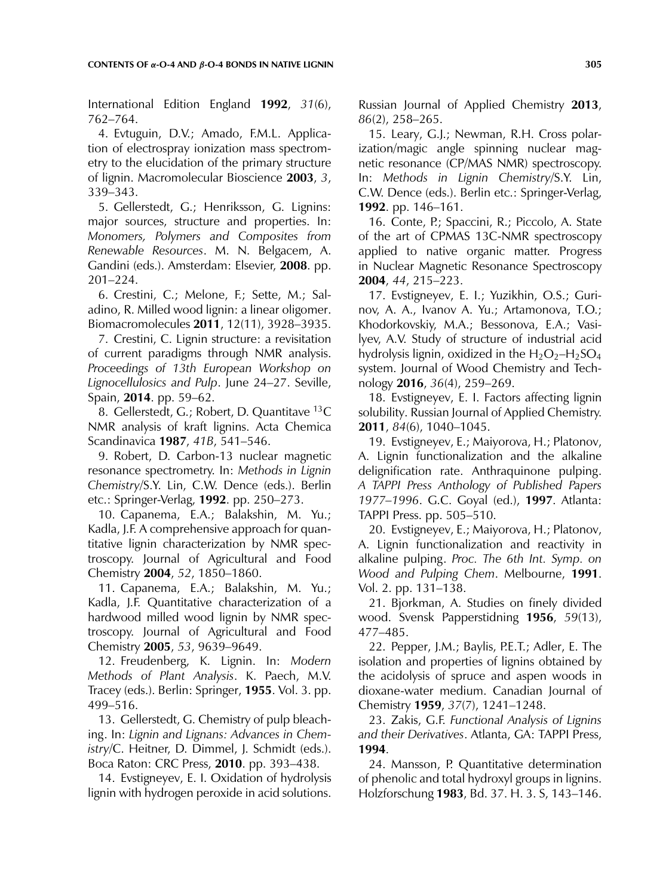International Edition England **1992**, *31*(6), 762–764.

4. Evtuguin, D.V.; Amado, F.M.L. Application of electrospray ionization mass spectrometry to the elucidation of the primary structure of lignin. Macromolecular Bioscience **2003**, *3*, 339–343.

5. Gellerstedt, G.; Henriksson, G. Lignins: major sources, structure and properties. In: *Monomers, Polymers and Composites from Renewable Resources*. M. N. Belgacem, A. Gandini (eds.). Amsterdam: Elsevier, **2008**. pp. 201–224.

6. Crestini, C.; Melone, F.; Sette, M.; Saladino, R. Milled wood lignin: a linear oligomer. Biomacromolecules **2011**, 12(11), 3928–3935.

7. Crestini, C. Lignin structure: a revisitation of current paradigms through NMR analysis. *Proceedings of 13th European Workshop on Lignocellulosics and Pulp*. June 24–27. Seville, Spain, **2014**. pp. 59–62.

8. Gellerstedt, G.; Robert, D. Quantitave 13C NMR analysis of kraft lignins. Acta Chemica Scandinavica **1987**, *41B*, 541–546.

9. Robert, D. Carbon-13 nuclear magnetic resonance spectrometry. In: *Methods in Lignin Chemistry*/S.Y. Lin, C.W. Dence (eds.). Berlin etc.: Springer-Verlag, **1992**. pp. 250–273.

10. Capanema, E.A.; Balakshin, M. Yu.; Kadla, J.F. A comprehensive approach for quantitative lignin characterization by NMR spectroscopy. Journal of Agricultural and Food Chemistry **2004**, *52*, 1850–1860.

11. Capanema, E.A.; Balakshin, M. Yu.; Kadla, J.F. Quantitative characterization of a hardwood milled wood lignin by NMR spectroscopy. Journal of Agricultural and Food Chemistry **2005**, *53*, 9639–9649.

12. Freudenberg, K. Lignin. In: *Modern Methods of Plant Analysis*. K. Paech, M.V. Tracey (eds.). Berlin: Springer, **1955**. Vol. 3. pp. 499–516.

13. Gellerstedt, G. Chemistry of pulp bleaching. In: *Lignin and Lignans: Advances in Chemistry*/C. Heitner, D. Dimmel, J. Schmidt (eds.). Boca Raton: CRC Press, **2010**. pp. 393–438.

14. Evstigneyev, E. I. Oxidation of hydrolysis lignin with hydrogen peroxide in acid solutions.

Russian Journal of Applied Chemistry **2013**, *86*(2), 258–265.

15. Leary, G.J.; Newman, R.H. Cross polarization/magic angle spinning nuclear magnetic resonance (CP/MAS NMR) spectroscopy. In: *Methods in Lignin Chemistry*/S.Y. Lin, C.W. Dence (eds.). Berlin etc.: Springer-Verlag, **1992**. pp. 146–161.

16. Conte, P.; Spaccini, R.; Piccolo, A. State of the art of CPMAS 13C-NMR spectroscopy applied to native organic matter. Progress in Nuclear Magnetic Resonance Spectroscopy **2004**, *44*, 215–223.

17. Evstigneyev, E. I.; Yuzikhin, O.S.; Gurinov, A. A., Ivanov A. Yu.; Artamonova, T.O.; Khodorkovskiy, M.A.; Bessonova, E.A.; Vasilyev, A.V. Study of structure of industrial acid hydrolysis lignin, oxidized in the  $H_2O_2-H_2SO_4$ system. Journal of Wood Chemistry and Technology **2016**, *36*(4), 259–269.

18. Evstigneyev, E. I. Factors affecting lignin solubility. Russian Journal of Applied Chemistry. **2011**, *84*(6), 1040–1045.

19. Evstigneyev, E.; Maiyorova, H.; Platonov, A. Lignin functionalization and the alkaline delignification rate. Anthraquinone pulping. *A TAPPI Press Anthology of Published Papers 1977–1996*. G.C. Goyal (ed.), **1997**. Atlanta: TAPPI Press. pp. 505–510.

20. Evstigneyev, E.; Maiyorova, H.; Platonov, A. Lignin functionalization and reactivity in alkaline pulping. *Proc. The 6th Int. Symp. on Wood and Pulping Chem*. Melbourne, **1991**. Vol. 2. pp. 131–138.

21. Bjorkman, A. Studies on finely divided wood. Svensk Papperstidning **1956**, *59*(13), 477–485.

22. Pepper, J.M.; Baylis, P.E.T.; Adler, E. The isolation and properties of lignins obtained by the acidolysis of spruce and aspen woods in dioxane-water medium. Canadian Journal of Chemistry **1959**, *37*(7), 1241–1248.

23. Zakis, G.F. *Functional Analysis of Lignins and their Derivatives*. Atlanta, GA: TAPPI Press, **1994**.

24. Mansson, P. Quantitative determination of phenolic and total hydroxyl groups in lignins. Holzforschung **1983**, Bd. 37. H. 3. S, 143–146.